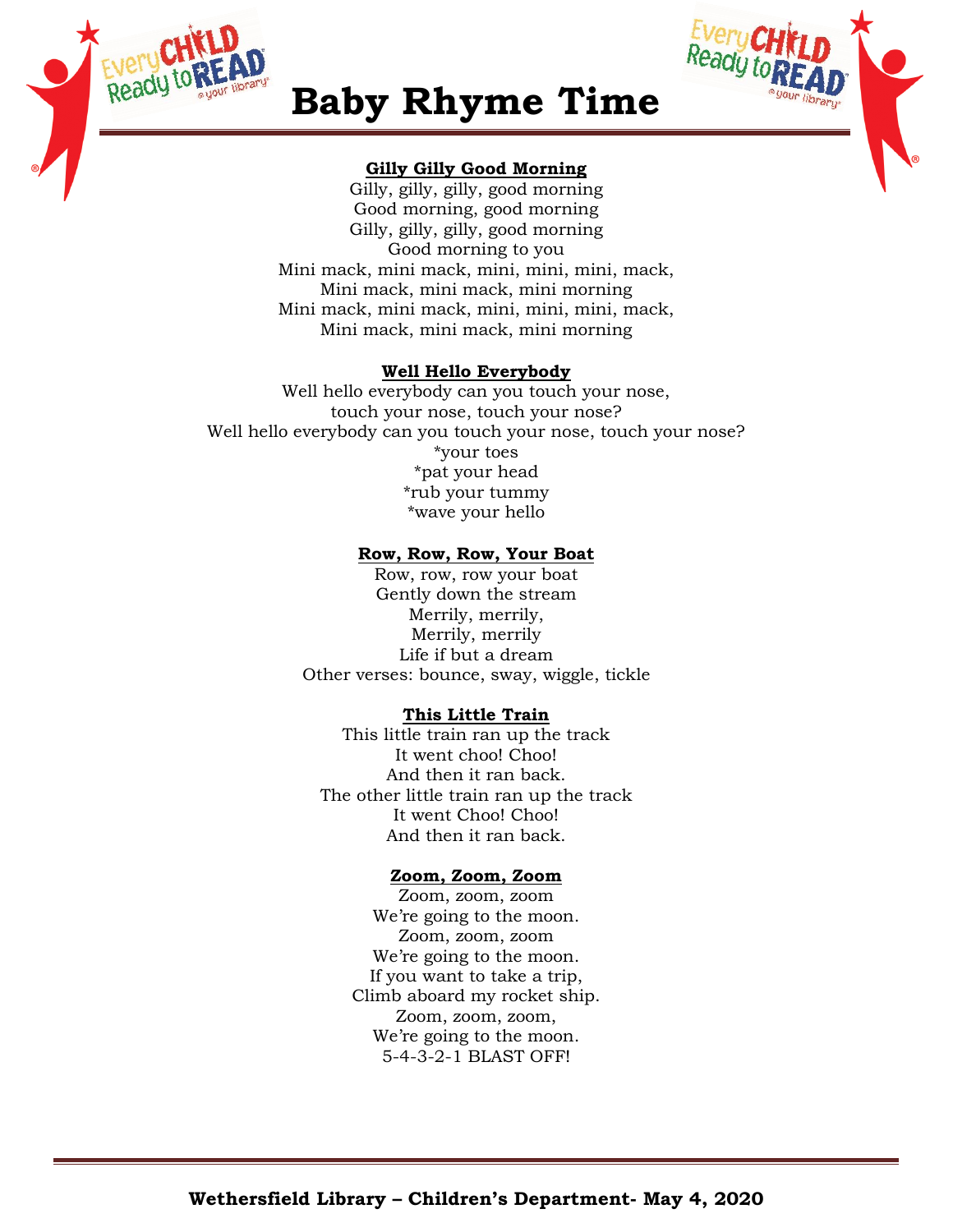



# **Baby Rhyme Time**

# **Gilly Gilly Good Morning**

Gilly, gilly, gilly, good morning Good morning, good morning Gilly, gilly, gilly, good morning Good morning to you Mini mack, mini mack, mini, mini, mini, mack, Mini mack, mini mack, mini morning Mini mack, mini mack, mini, mini, mini, mack, Mini mack, mini mack, mini morning

# **Well Hello Everybody**

Well hello everybody can you touch your nose, touch your nose, touch your nose? Well hello everybody can you touch your nose, touch your nose? \*your toes \*pat your head \*rub your tummy \*wave your hello

# **Row, Row, Row, Your Boat**

Row, row, row your boat Gently down the stream Merrily, merrily, Merrily, merrily Life if but a dream Other verses: bounce, sway, wiggle, tickle

# **This Little Train**

This little train ran up the track It went choo! Choo! And then it ran back. The other little train ran up the track It went Choo! Choo! And then it ran back.

# **Zoom, Zoom, Zoom**

Zoom, zoom, zoom We're going to the moon. Zoom, zoom, zoom We're going to the moon. If you want to take a trip, Climb aboard my rocket ship. Zoom, zoom, zoom, We're going to the moon. 5-4-3-2-1 BLAST OFF!